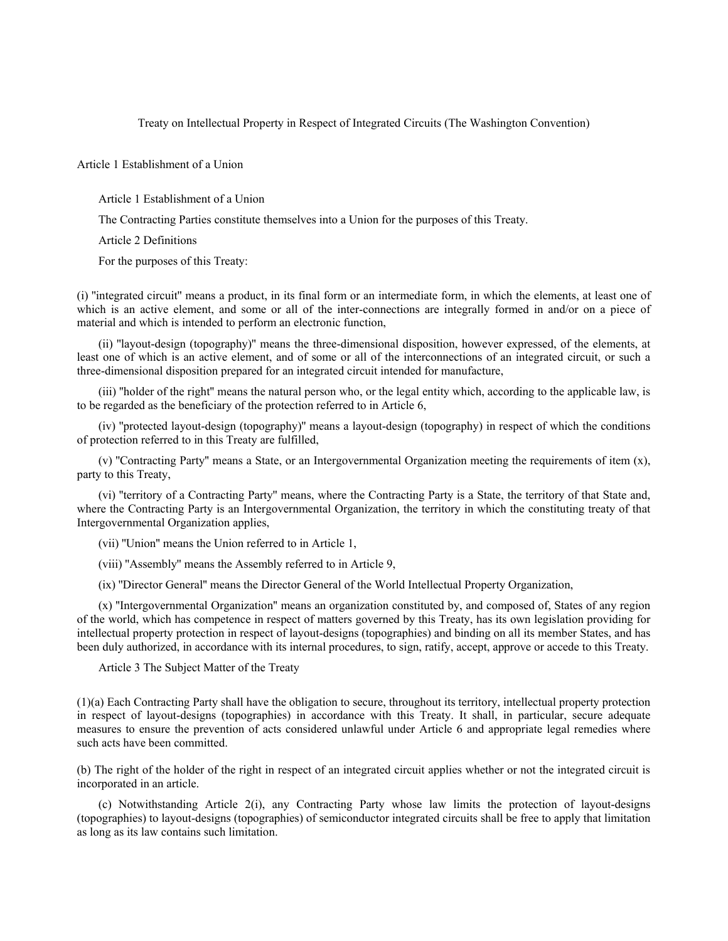Treaty on Intellectual Property in Respect of Integrated Circuits (The Washington Convention)

Article 1 Establishment of a Union

Article 1 Establishment of a Union

The Contracting Parties constitute themselves into a Union for the purposes of this Treaty.

Article 2 Definitions

For the purposes of this Treaty:

(i) ''integrated circuit'' means a product, in its final form or an intermediate form, in which the elements, at least one of which is an active element, and some or all of the inter-connections are integrally formed in and/or on a piece of material and which is intended to perform an electronic function,

(ii) ''layout-design (topography)'' means the three-dimensional disposition, however expressed, of the elements, at least one of which is an active element, and of some or all of the interconnections of an integrated circuit, or such a three-dimensional disposition prepared for an integrated circuit intended for manufacture,

(iii) ''holder of the right'' means the natural person who, or the legal entity which, according to the applicable law, is to be regarded as the beneficiary of the protection referred to in Article 6,

(iv) ''protected layout-design (topography)'' means a layout-design (topography) in respect of which the conditions of protection referred to in this Treaty are fulfilled,

(v) ''Contracting Party'' means a State, or an Intergovernmental Organization meeting the requirements of item (x), party to this Treaty,

(vi) ''territory of a Contracting Party'' means, where the Contracting Party is a State, the territory of that State and, where the Contracting Party is an Intergovernmental Organization, the territory in which the constituting treaty of that Intergovernmental Organization applies,

(vii) ''Union'' means the Union referred to in Article 1,

(viii) ''Assembly'' means the Assembly referred to in Article 9,

(ix) ''Director General'' means the Director General of the World Intellectual Property Organization,

(x) ''Intergovernmental Organization'' means an organization constituted by, and composed of, States of any region of the world, which has competence in respect of matters governed by this Treaty, has its own legislation providing for intellectual property protection in respect of layout-designs (topographies) and binding on all its member States, and has been duly authorized, in accordance with its internal procedures, to sign, ratify, accept, approve or accede to this Treaty.

Article 3 The Subject Matter of the Treaty

(1)(a) Each Contracting Party shall have the obligation to secure, throughout its territory, intellectual property protection in respect of layout-designs (topographies) in accordance with this Treaty. It shall, in particular, secure adequate measures to ensure the prevention of acts considered unlawful under Article 6 and appropriate legal remedies where such acts have been committed.

(b) The right of the holder of the right in respect of an integrated circuit applies whether or not the integrated circuit is incorporated in an article.

(c) Notwithstanding Article 2(i), any Contracting Party whose law limits the protection of layout-designs (topographies) to layout-designs (topographies) of semiconductor integrated circuits shall be free to apply that limitation as long as its law contains such limitation.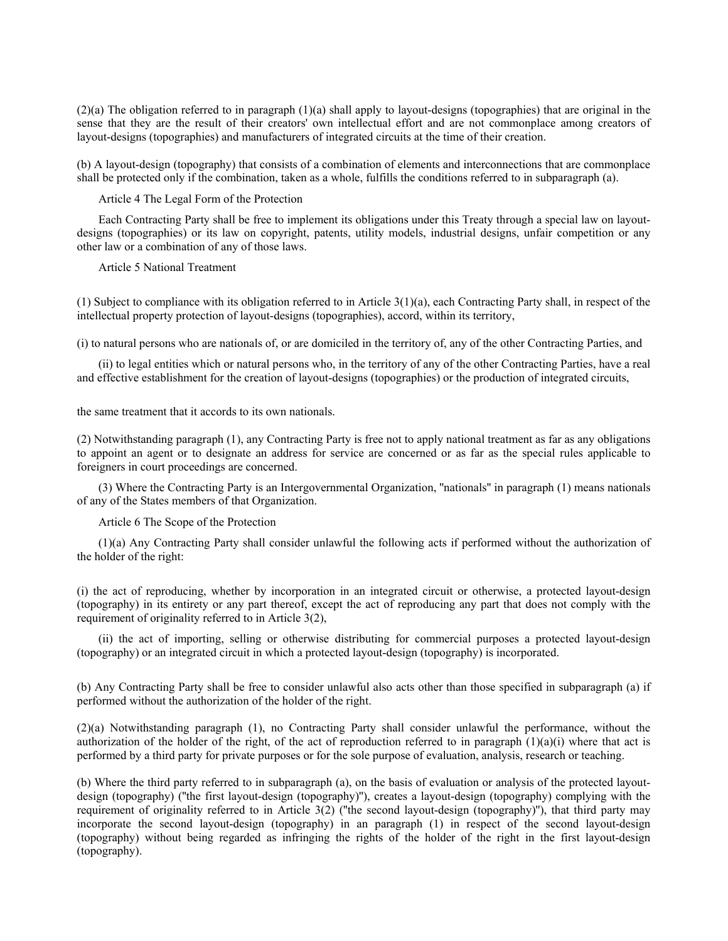$(2)(a)$  The obligation referred to in paragraph  $(1)(a)$  shall apply to layout-designs (topographies) that are original in the sense that they are the result of their creators' own intellectual effort and are not commonplace among creators of layout-designs (topographies) and manufacturers of integrated circuits at the time of their creation.

(b) A layout-design (topography) that consists of a combination of elements and interconnections that are commonplace shall be protected only if the combination, taken as a whole, fulfills the conditions referred to in subparagraph (a).

Article 4 The Legal Form of the Protection

Each Contracting Party shall be free to implement its obligations under this Treaty through a special law on layoutdesigns (topographies) or its law on copyright, patents, utility models, industrial designs, unfair competition or any other law or a combination of any of those laws.

Article 5 National Treatment

(1) Subject to compliance with its obligation referred to in Article 3(1)(a), each Contracting Party shall, in respect of the intellectual property protection of layout-designs (topographies), accord, within its territory,

(i) to natural persons who are nationals of, or are domiciled in the territory of, any of the other Contracting Parties, and

(ii) to legal entities which or natural persons who, in the territory of any of the other Contracting Parties, have a real and effective establishment for the creation of layout-designs (topographies) or the production of integrated circuits,

the same treatment that it accords to its own nationals.

(2) Notwithstanding paragraph (1), any Contracting Party is free not to apply national treatment as far as any obligations to appoint an agent or to designate an address for service are concerned or as far as the special rules applicable to foreigners in court proceedings are concerned.

(3) Where the Contracting Party is an Intergovernmental Organization, ''nationals'' in paragraph (1) means nationals of any of the States members of that Organization.

Article 6 The Scope of the Protection

(1)(a) Any Contracting Party shall consider unlawful the following acts if performed without the authorization of the holder of the right:

(i) the act of reproducing, whether by incorporation in an integrated circuit or otherwise, a protected layout-design (topography) in its entirety or any part thereof, except the act of reproducing any part that does not comply with the requirement of originality referred to in Article 3(2),

(ii) the act of importing, selling or otherwise distributing for commercial purposes a protected layout-design (topography) or an integrated circuit in which a protected layout-design (topography) is incorporated.

(b) Any Contracting Party shall be free to consider unlawful also acts other than those specified in subparagraph (a) if performed without the authorization of the holder of the right.

(2)(a) Notwithstanding paragraph (1), no Contracting Party shall consider unlawful the performance, without the authorization of the holder of the right, of the act of reproduction referred to in paragraph  $(1)(a)(i)$  where that act is performed by a third party for private purposes or for the sole purpose of evaluation, analysis, research or teaching.

(b) Where the third party referred to in subparagraph (a), on the basis of evaluation or analysis of the protected layoutdesign (topography) (''the first layout-design (topography)''), creates a layout-design (topography) complying with the requirement of originality referred to in Article 3(2) (''the second layout-design (topography)''), that third party may incorporate the second layout-design (topography) in an paragraph (1) in respect of the second layout-design (topography) without being regarded as infringing the rights of the holder of the right in the first layout-design (topography).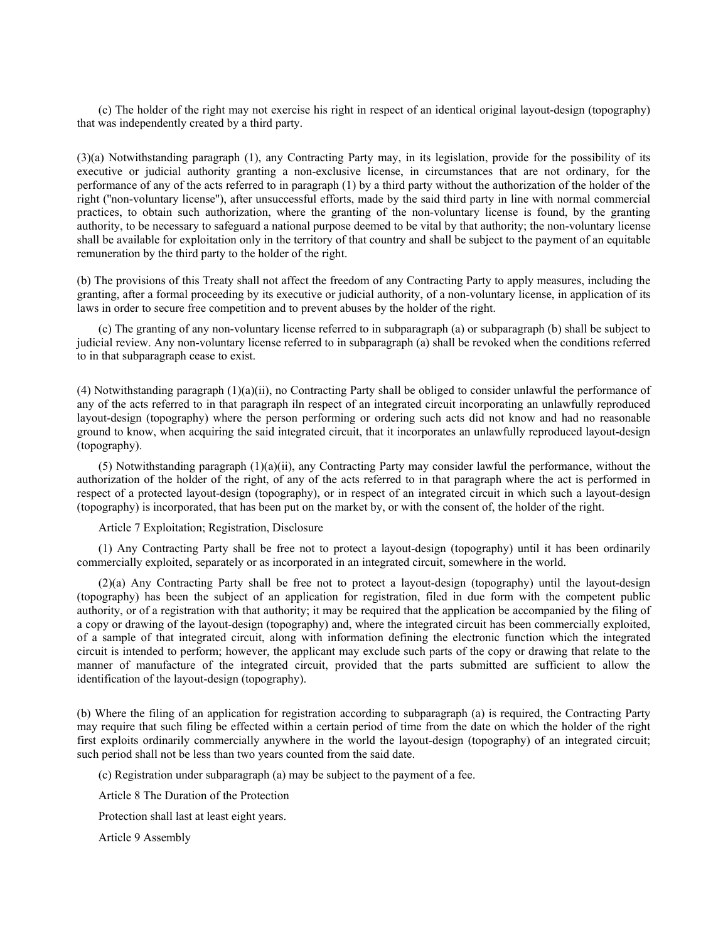(c) The holder of the right may not exercise his right in respect of an identical original layout-design (topography) that was independently created by a third party.

(3)(a) Notwithstanding paragraph (1), any Contracting Party may, in its legislation, provide for the possibility of its executive or judicial authority granting a non-exclusive license, in circumstances that are not ordinary, for the performance of any of the acts referred to in paragraph (1) by a third party without the authorization of the holder of the right (''non-voluntary license''), after unsuccessful efforts, made by the said third party in line with normal commercial practices, to obtain such authorization, where the granting of the non-voluntary license is found, by the granting authority, to be necessary to safeguard a national purpose deemed to be vital by that authority; the non-voluntary license shall be available for exploitation only in the territory of that country and shall be subject to the payment of an equitable remuneration by the third party to the holder of the right.

(b) The provisions of this Treaty shall not affect the freedom of any Contracting Party to apply measures, including the granting, after a formal proceeding by its executive or judicial authority, of a non-voluntary license, in application of its laws in order to secure free competition and to prevent abuses by the holder of the right.

(c) The granting of any non-voluntary license referred to in subparagraph (a) or subparagraph (b) shall be subject to judicial review. Any non-voluntary license referred to in subparagraph (a) shall be revoked when the conditions referred to in that subparagraph cease to exist.

(4) Notwithstanding paragraph (1)(a)(ii), no Contracting Party shall be obliged to consider unlawful the performance of any of the acts referred to in that paragraph iln respect of an integrated circuit incorporating an unlawfully reproduced layout-design (topography) where the person performing or ordering such acts did not know and had no reasonable ground to know, when acquiring the said integrated circuit, that it incorporates an unlawfully reproduced layout-design (topography).

(5) Notwithstanding paragraph (1)(a)(ii), any Contracting Party may consider lawful the performance, without the authorization of the holder of the right, of any of the acts referred to in that paragraph where the act is performed in respect of a protected layout-design (topography), or in respect of an integrated circuit in which such a layout-design (topography) is incorporated, that has been put on the market by, or with the consent of, the holder of the right.

Article 7 Exploitation; Registration, Disclosure

(1) Any Contracting Party shall be free not to protect a layout-design (topography) until it has been ordinarily commercially exploited, separately or as incorporated in an integrated circuit, somewhere in the world.

(2)(a) Any Contracting Party shall be free not to protect a layout-design (topography) until the layout-design (topography) has been the subject of an application for registration, filed in due form with the competent public authority, or of a registration with that authority; it may be required that the application be accompanied by the filing of a copy or drawing of the layout-design (topography) and, where the integrated circuit has been commercially exploited, of a sample of that integrated circuit, along with information defining the electronic function which the integrated circuit is intended to perform; however, the applicant may exclude such parts of the copy or drawing that relate to the manner of manufacture of the integrated circuit, provided that the parts submitted are sufficient to allow the identification of the layout-design (topography).

(b) Where the filing of an application for registration according to subparagraph (a) is required, the Contracting Party may require that such filing be effected within a certain period of time from the date on which the holder of the right first exploits ordinarily commercially anywhere in the world the layout-design (topography) of an integrated circuit; such period shall not be less than two years counted from the said date.

(c) Registration under subparagraph (a) may be subject to the payment of a fee.

Article 8 The Duration of the Protection

Protection shall last at least eight years.

Article 9 Assembly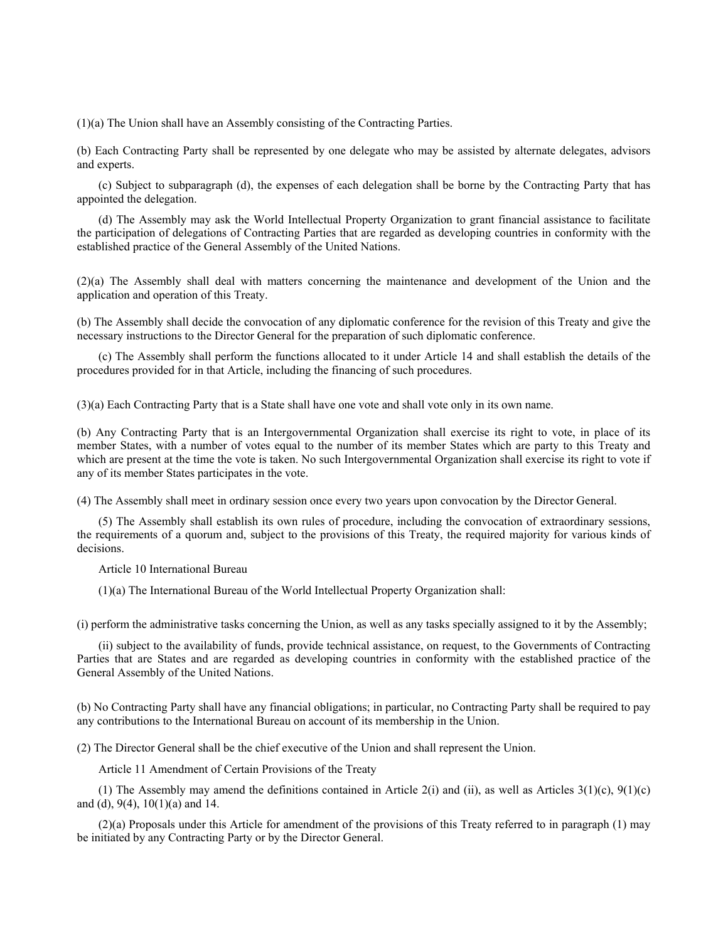(1)(a) The Union shall have an Assembly consisting of the Contracting Parties.

(b) Each Contracting Party shall be represented by one delegate who may be assisted by alternate delegates, advisors and experts.

(c) Subject to subparagraph (d), the expenses of each delegation shall be borne by the Contracting Party that has appointed the delegation.

(d) The Assembly may ask the World Intellectual Property Organization to grant financial assistance to facilitate the participation of delegations of Contracting Parties that are regarded as developing countries in conformity with the established practice of the General Assembly of the United Nations.

(2)(a) The Assembly shall deal with matters concerning the maintenance and development of the Union and the application and operation of this Treaty.

(b) The Assembly shall decide the convocation of any diplomatic conference for the revision of this Treaty and give the necessary instructions to the Director General for the preparation of such diplomatic conference.

(c) The Assembly shall perform the functions allocated to it under Article 14 and shall establish the details of the procedures provided for in that Article, including the financing of such procedures.

(3)(a) Each Contracting Party that is a State shall have one vote and shall vote only in its own name.

(b) Any Contracting Party that is an Intergovernmental Organization shall exercise its right to vote, in place of its member States, with a number of votes equal to the number of its member States which are party to this Treaty and which are present at the time the vote is taken. No such Intergovernmental Organization shall exercise its right to vote if any of its member States participates in the vote.

(4) The Assembly shall meet in ordinary session once every two years upon convocation by the Director General.

(5) The Assembly shall establish its own rules of procedure, including the convocation of extraordinary sessions, the requirements of a quorum and, subject to the provisions of this Treaty, the required majority for various kinds of decisions.

Article 10 International Bureau

(1)(a) The International Bureau of the World Intellectual Property Organization shall:

(i) perform the administrative tasks concerning the Union, as well as any tasks specially assigned to it by the Assembly;

(ii) subject to the availability of funds, provide technical assistance, on request, to the Governments of Contracting Parties that are States and are regarded as developing countries in conformity with the established practice of the General Assembly of the United Nations.

(b) No Contracting Party shall have any financial obligations; in particular, no Contracting Party shall be required to pay any contributions to the International Bureau on account of its membership in the Union.

(2) The Director General shall be the chief executive of the Union and shall represent the Union.

Article 11 Amendment of Certain Provisions of the Treaty

(1) The Assembly may amend the definitions contained in Article 2(i) and (ii), as well as Articles  $3(1)(c)$ ,  $9(1)(c)$ and (d), 9(4), 10(1)(a) and 14.

(2)(a) Proposals under this Article for amendment of the provisions of this Treaty referred to in paragraph (1) may be initiated by any Contracting Party or by the Director General.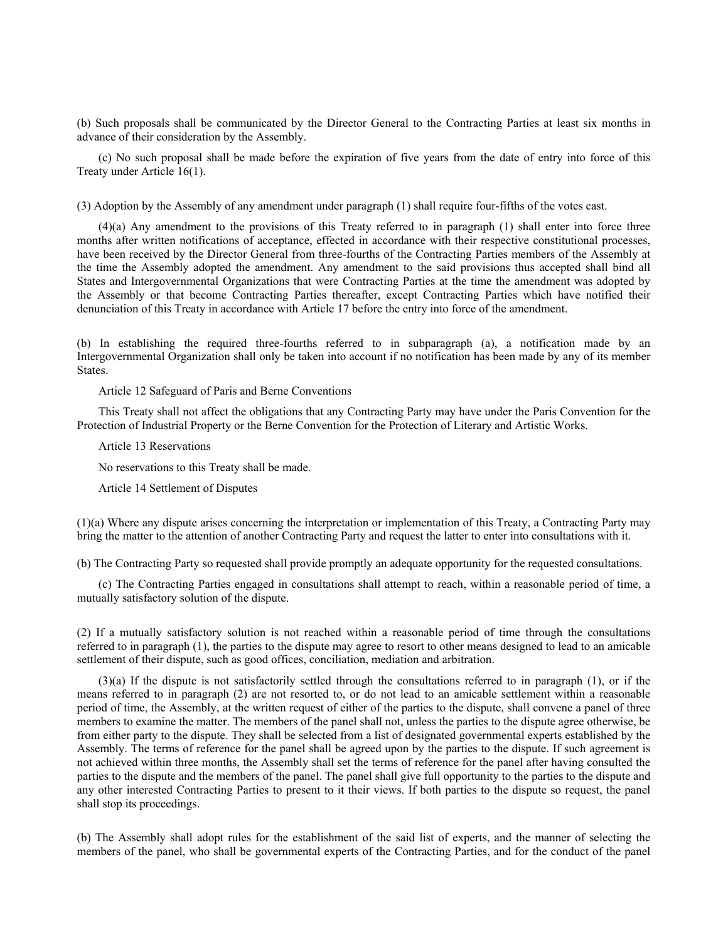(b) Such proposals shall be communicated by the Director General to the Contracting Parties at least six months in advance of their consideration by the Assembly.

(c) No such proposal shall be made before the expiration of five years from the date of entry into force of this Treaty under Article 16(1).

(3) Adoption by the Assembly of any amendment under paragraph (1) shall require four-fifths of the votes cast.

(4)(a) Any amendment to the provisions of this Treaty referred to in paragraph (1) shall enter into force three months after written notifications of acceptance, effected in accordance with their respective constitutional processes, have been received by the Director General from three-fourths of the Contracting Parties members of the Assembly at the time the Assembly adopted the amendment. Any amendment to the said provisions thus accepted shall bind all States and Intergovernmental Organizations that were Contracting Parties at the time the amendment was adopted by the Assembly or that become Contracting Parties thereafter, except Contracting Parties which have notified their denunciation of this Treaty in accordance with Article 17 before the entry into force of the amendment.

(b) In establishing the required three-fourths referred to in subparagraph (a), a notification made by an Intergovernmental Organization shall only be taken into account if no notification has been made by any of its member States.

Article 12 Safeguard of Paris and Berne Conventions

This Treaty shall not affect the obligations that any Contracting Party may have under the Paris Convention for the Protection of Industrial Property or the Berne Convention for the Protection of Literary and Artistic Works.

Article 13 Reservations

No reservations to this Treaty shall be made.

Article 14 Settlement of Disputes

(1)(a) Where any dispute arises concerning the interpretation or implementation of this Treaty, a Contracting Party may bring the matter to the attention of another Contracting Party and request the latter to enter into consultations with it.

(b) The Contracting Party so requested shall provide promptly an adequate opportunity for the requested consultations.

(c) The Contracting Parties engaged in consultations shall attempt to reach, within a reasonable period of time, a mutually satisfactory solution of the dispute.

(2) If a mutually satisfactory solution is not reached within a reasonable period of time through the consultations referred to in paragraph (1), the parties to the dispute may agree to resort to other means designed to lead to an amicable settlement of their dispute, such as good offices, conciliation, mediation and arbitration.

(3)(a) If the dispute is not satisfactorily settled through the consultations referred to in paragraph (1), or if the means referred to in paragraph (2) are not resorted to, or do not lead to an amicable settlement within a reasonable period of time, the Assembly, at the written request of either of the parties to the dispute, shall convene a panel of three members to examine the matter. The members of the panel shall not, unless the parties to the dispute agree otherwise, be from either party to the dispute. They shall be selected from a list of designated governmental experts established by the Assembly. The terms of reference for the panel shall be agreed upon by the parties to the dispute. If such agreement is not achieved within three months, the Assembly shall set the terms of reference for the panel after having consulted the parties to the dispute and the members of the panel. The panel shall give full opportunity to the parties to the dispute and any other interested Contracting Parties to present to it their views. If both parties to the dispute so request, the panel shall stop its proceedings.

(b) The Assembly shall adopt rules for the establishment of the said list of experts, and the manner of selecting the members of the panel, who shall be governmental experts of the Contracting Parties, and for the conduct of the panel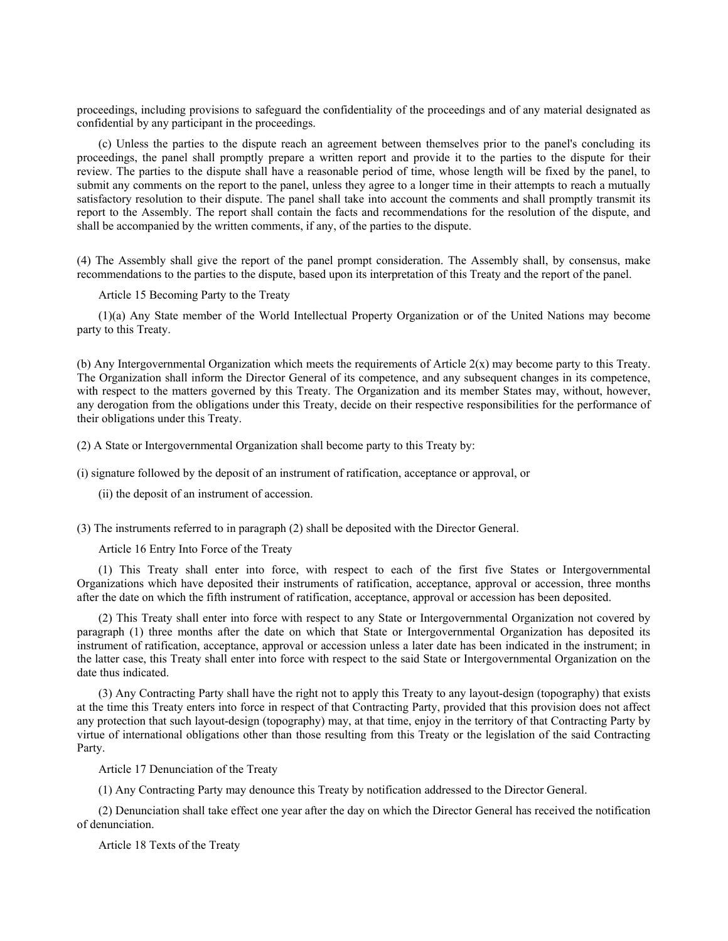proceedings, including provisions to safeguard the confidentiality of the proceedings and of any material designated as confidential by any participant in the proceedings.

(c) Unless the parties to the dispute reach an agreement between themselves prior to the panel's concluding its proceedings, the panel shall promptly prepare a written report and provide it to the parties to the dispute for their review. The parties to the dispute shall have a reasonable period of time, whose length will be fixed by the panel, to submit any comments on the report to the panel, unless they agree to a longer time in their attempts to reach a mutually satisfactory resolution to their dispute. The panel shall take into account the comments and shall promptly transmit its report to the Assembly. The report shall contain the facts and recommendations for the resolution of the dispute, and shall be accompanied by the written comments, if any, of the parties to the dispute.

(4) The Assembly shall give the report of the panel prompt consideration. The Assembly shall, by consensus, make recommendations to the parties to the dispute, based upon its interpretation of this Treaty and the report of the panel.

Article 15 Becoming Party to the Treaty

(1)(a) Any State member of the World Intellectual Property Organization or of the United Nations may become party to this Treaty.

(b) Any Intergovernmental Organization which meets the requirements of Article 2(x) may become party to this Treaty. The Organization shall inform the Director General of its competence, and any subsequent changes in its competence, with respect to the matters governed by this Treaty. The Organization and its member States may, without, however, any derogation from the obligations under this Treaty, decide on their respective responsibilities for the performance of their obligations under this Treaty.

(2) A State or Intergovernmental Organization shall become party to this Treaty by:

(i) signature followed by the deposit of an instrument of ratification, acceptance or approval, or

(ii) the deposit of an instrument of accession.

(3) The instruments referred to in paragraph (2) shall be deposited with the Director General.

Article 16 Entry Into Force of the Treaty

(1) This Treaty shall enter into force, with respect to each of the first five States or Intergovernmental Organizations which have deposited their instruments of ratification, acceptance, approval or accession, three months after the date on which the fifth instrument of ratification, acceptance, approval or accession has been deposited.

(2) This Treaty shall enter into force with respect to any State or Intergovernmental Organization not covered by paragraph (1) three months after the date on which that State or Intergovernmental Organization has deposited its instrument of ratification, acceptance, approval or accession unless a later date has been indicated in the instrument; in the latter case, this Treaty shall enter into force with respect to the said State or Intergovernmental Organization on the date thus indicated.

(3) Any Contracting Party shall have the right not to apply this Treaty to any layout-design (topography) that exists at the time this Treaty enters into force in respect of that Contracting Party, provided that this provision does not affect any protection that such layout-design (topography) may, at that time, enjoy in the territory of that Contracting Party by virtue of international obligations other than those resulting from this Treaty or the legislation of the said Contracting Party.

Article 17 Denunciation of the Treaty

(1) Any Contracting Party may denounce this Treaty by notification addressed to the Director General.

(2) Denunciation shall take effect one year after the day on which the Director General has received the notification of denunciation.

Article 18 Texts of the Treaty